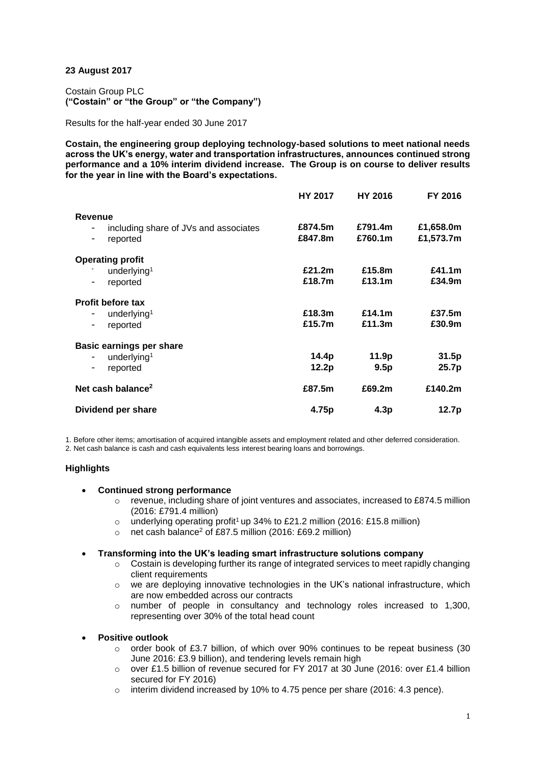# **23 August 2017**

Costain Group PLC **("Costain" or "the Group" or "the Company")**

Results for the half-year ended 30 June 2017

**Costain, the engineering group deploying technology-based solutions to meet national needs across the UK's energy, water and transportation infrastructures, announces continued strong performance and a 10% interim dividend increase. The Group is on course to deliver results for the year in line with the Board's expectations.**

|                                                                                                             | <b>HY 2017</b>     | <b>HY 2016</b>     | FY 2016                |
|-------------------------------------------------------------------------------------------------------------|--------------------|--------------------|------------------------|
| Revenue<br>including share of JVs and associates<br>-<br>reported<br>-                                      | £874.5m<br>£847.8m | £791.4m<br>£760.1m | £1,658.0m<br>£1,573.7m |
| <b>Operating profit</b><br>underlying <sup>1</sup><br>reported<br>-                                         | £21.2m<br>£18.7m   | £15.8m<br>£13.1m   | £41.1m<br>£34.9m       |
| <b>Profit before tax</b><br>underlying <sup>1</sup><br>۰<br>reported<br>-                                   | £18.3m<br>£15.7m   | £14.1m<br>£11.3m   | £37.5m<br>£30.9m       |
| <b>Basic earnings per share</b><br>underlying <sup>1</sup><br>$\qquad \qquad \blacksquare$<br>reported<br>۰ | 14.4p<br>12.2p     | 11.9p<br>9.5p      | 31.5p<br>25.7p         |
| Net cash balance <sup>2</sup>                                                                               | £87.5m             | £69.2m             | £140.2m                |
| Dividend per share                                                                                          | 4.75p              | 4.3p               | 12.7p                  |

1. Before other items; amortisation of acquired intangible assets and employment related and other deferred consideration. 2. Net cash balance is cash and cash equivalents less interest bearing loans and borrowings.

# **Highlights**

## **Continued strong performance**

- $\circ$  revenue, including share of joint ventures and associates, increased to £874.5 million (2016: £791.4 million)
- $\circ$  underlying operating profit<sup>1</sup> up 34% to £21.2 million (2016: £15.8 million)
- o net cash balance<sup>2</sup> of £87.5 million (2016: £69.2 million)

# **Transforming into the UK's leading smart infrastructure solutions company**

- $\circ$  Costain is developing further its range of integrated services to meet rapidly changing client requirements
- $\circ$  we are deploying innovative technologies in the UK's national infrastructure, which are now embedded across our contracts
- o number of people in consultancy and technology roles increased to 1,300, representing over 30% of the total head count
- **Positive outlook**
	- $\circ$  order book of £3.7 billion, of which over 90% continues to be repeat business (30 June 2016: £3.9 billion), and tendering levels remain high
	- o over £1.5 billion of revenue secured for FY 2017 at 30 June (2016: over £1.4 billion secured for FY 2016)
	- o interim dividend increased by 10% to 4.75 pence per share (2016: 4.3 pence).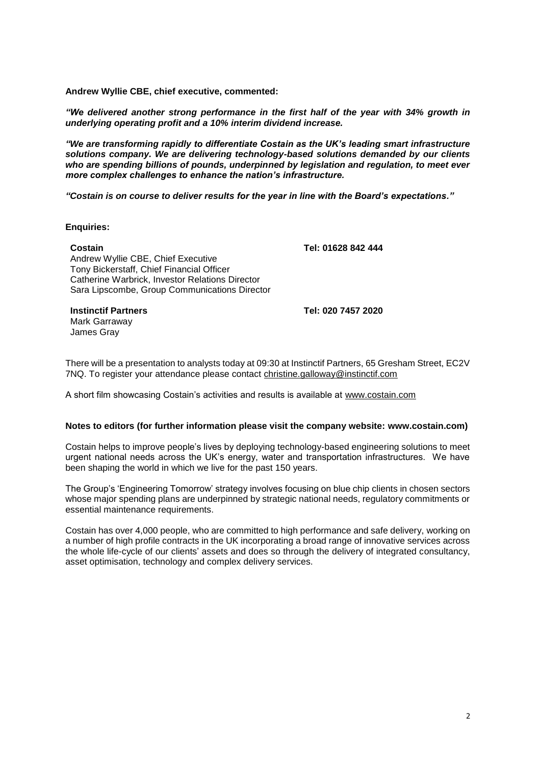**Andrew Wyllie CBE, chief executive, commented:** 

*"We delivered another strong performance in the first half of the year with 34% growth in underlying operating profit and a 10% interim dividend increase.*

*"We are transforming rapidly to differentiate Costain as the UK's leading smart infrastructure solutions company. We are delivering technology-based solutions demanded by our clients who are spending billions of pounds, underpinned by legislation and regulation, to meet ever more complex challenges to enhance the nation's infrastructure.*

*"Costain is on course to deliver results for the year in line with the Board's expectations."*

**Enquiries:**

## **Costain Tel: 01628 842 444**

Andrew Wyllie CBE, Chief Executive Tony Bickerstaff, Chief Financial Officer Catherine Warbrick, Investor Relations Director Sara Lipscombe, Group Communications Director

**Instinctif Partners Tel: 020 7457 2020** Mark Garraway

James Gray

There will be a presentation to analysts today at 09:30 at Instinctif Partners, 65 Gresham Street, EC2V 7NQ. To register your attendance please contact [christine.galloway@instinctif.com](mailto:christine.galloway@instinctif.com)

A short film showcasing Costain's activities and results is available at www.costain.com

### **Notes to editors (for further information please visit the company website: [www.costain.com\)](http://www.poseidonplc.com/)**

Costain helps to improve people's lives by deploying technology-based engineering solutions to meet urgent national needs across the UK's energy, water and transportation infrastructures. We have been shaping the world in which we live for the past 150 years.

The Group's 'Engineering Tomorrow' strategy involves focusing on blue chip clients in chosen sectors whose major spending plans are underpinned by strategic national needs, regulatory commitments or essential maintenance requirements.

Costain has over 4,000 people, who are committed to high performance and safe delivery, working on a number of high profile contracts in the UK incorporating a broad range of innovative services across the whole life-cycle of our clients' assets and does so through the delivery of integrated consultancy, asset optimisation, technology and complex delivery services.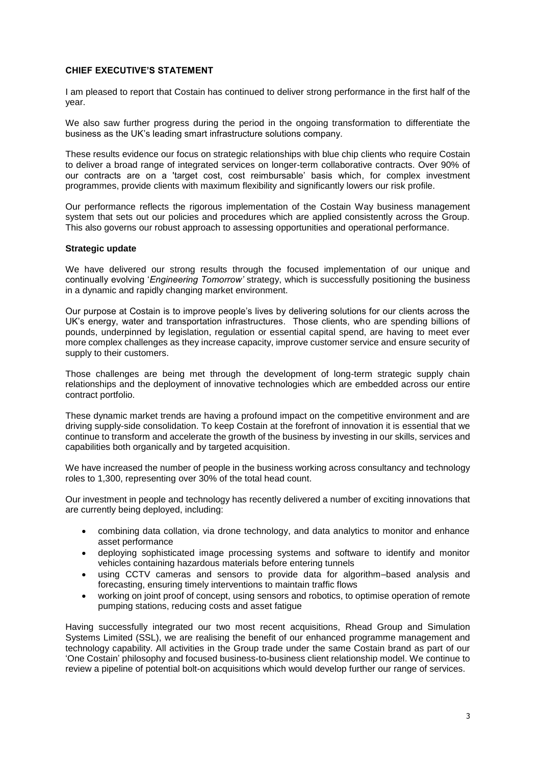# **CHIEF EXECUTIVE'S STATEMENT**

I am pleased to report that Costain has continued to deliver strong performance in the first half of the year.

We also saw further progress during the period in the ongoing transformation to differentiate the business as the UK's leading smart infrastructure solutions company.

These results evidence our focus on strategic relationships with blue chip clients who require Costain to deliver a broad range of integrated services on longer-term collaborative contracts. Over 90% of our contracts are on a 'target cost, cost reimbursable' basis which, for complex investment programmes, provide clients with maximum flexibility and significantly lowers our risk profile.

Our performance reflects the rigorous implementation of the Costain Way business management system that sets out our policies and procedures which are applied consistently across the Group. This also governs our robust approach to assessing opportunities and operational performance.

## **Strategic update**

We have delivered our strong results through the focused implementation of our unique and continually evolving '*Engineering Tomorrow'* strategy, which is successfully positioning the business in a dynamic and rapidly changing market environment.

Our purpose at Costain is to improve people's lives by delivering solutions for our clients across the UK's energy, water and transportation infrastructures. Those clients, who are spending billions of pounds, underpinned by legislation, regulation or essential capital spend, are having to meet ever more complex challenges as they increase capacity, improve customer service and ensure security of supply to their customers.

Those challenges are being met through the development of long-term strategic supply chain relationships and the deployment of innovative technologies which are embedded across our entire contract portfolio.

These dynamic market trends are having a profound impact on the competitive environment and are driving supply-side consolidation. To keep Costain at the forefront of innovation it is essential that we continue to transform and accelerate the growth of the business by investing in our skills, services and capabilities both organically and by targeted acquisition.

We have increased the number of people in the business working across consultancy and technology roles to 1,300, representing over 30% of the total head count.

Our investment in people and technology has recently delivered a number of exciting innovations that are currently being deployed, including:

- combining data collation, via drone technology, and data analytics to monitor and enhance asset performance
- deploying sophisticated image processing systems and software to identify and monitor vehicles containing hazardous materials before entering tunnels
- using CCTV cameras and sensors to provide data for algorithm–based analysis and forecasting, ensuring timely interventions to maintain traffic flows
- working on joint proof of concept, using sensors and robotics, to optimise operation of remote pumping stations, reducing costs and asset fatigue

Having successfully integrated our two most recent acquisitions, Rhead Group and Simulation Systems Limited (SSL), we are realising the benefit of our enhanced programme management and technology capability. All activities in the Group trade under the same Costain brand as part of our 'One Costain' philosophy and focused business-to-business client relationship model. We continue to review a pipeline of potential bolt-on acquisitions which would develop further our range of services.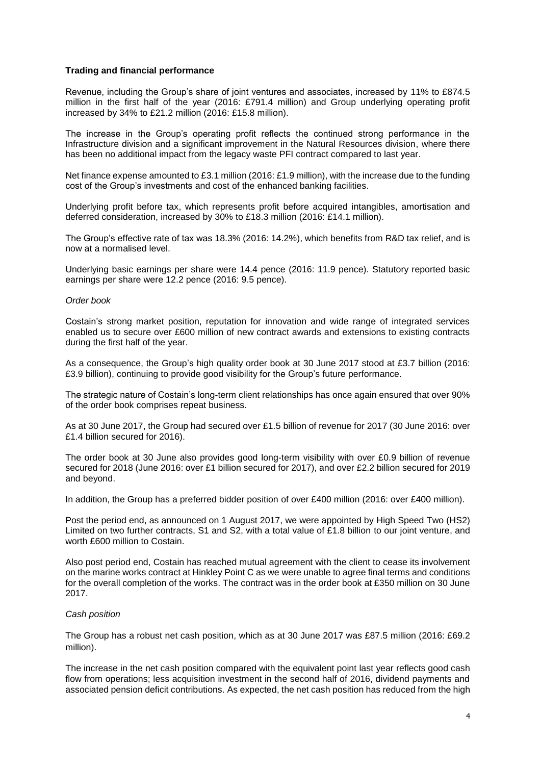## **Trading and financial performance**

Revenue, including the Group's share of joint ventures and associates, increased by 11% to £874.5 million in the first half of the year (2016: £791.4 million) and Group underlying operating profit increased by 34% to £21.2 million (2016: £15.8 million).

The increase in the Group's operating profit reflects the continued strong performance in the Infrastructure division and a significant improvement in the Natural Resources division, where there has been no additional impact from the legacy waste PFI contract compared to last year.

Net finance expense amounted to £3.1 million (2016: £1.9 million), with the increase due to the funding cost of the Group's investments and cost of the enhanced banking facilities.

Underlying profit before tax, which represents profit before acquired intangibles, amortisation and deferred consideration, increased by 30% to £18.3 million (2016: £14.1 million).

The Group's effective rate of tax was 18.3% (2016: 14.2%), which benefits from R&D tax relief, and is now at a normalised level.

Underlying basic earnings per share were 14.4 pence (2016: 11.9 pence). Statutory reported basic earnings per share were 12.2 pence (2016: 9.5 pence).

### *Order book*

Costain's strong market position, reputation for innovation and wide range of integrated services enabled us to secure over £600 million of new contract awards and extensions to existing contracts during the first half of the year.

As a consequence, the Group's high quality order book at 30 June 2017 stood at £3.7 billion (2016: £3.9 billion), continuing to provide good visibility for the Group's future performance.

The strategic nature of Costain's long-term client relationships has once again ensured that over 90% of the order book comprises repeat business.

As at 30 June 2017, the Group had secured over £1.5 billion of revenue for 2017 (30 June 2016: over £1.4 billion secured for 2016).

The order book at 30 June also provides good long-term visibility with over £0.9 billion of revenue secured for 2018 (June 2016: over £1 billion secured for 2017), and over £2.2 billion secured for 2019 and beyond.

In addition, the Group has a preferred bidder position of over £400 million (2016: over £400 million).

Post the period end, as announced on 1 August 2017, we were appointed by High Speed Two (HS2) Limited on two further contracts, S1 and S2, with a total value of £1.8 billion to our joint venture, and worth £600 million to Costain.

Also post period end, Costain has reached mutual agreement with the client to cease its involvement on the marine works contract at Hinkley Point C as we were unable to agree final terms and conditions for the overall completion of the works. The contract was in the order book at £350 million on 30 June 2017.

## *Cash position*

The Group has a robust net cash position, which as at 30 June 2017 was £87.5 million (2016: £69.2 million).

The increase in the net cash position compared with the equivalent point last year reflects good cash flow from operations; less acquisition investment in the second half of 2016, dividend payments and associated pension deficit contributions. As expected, the net cash position has reduced from the high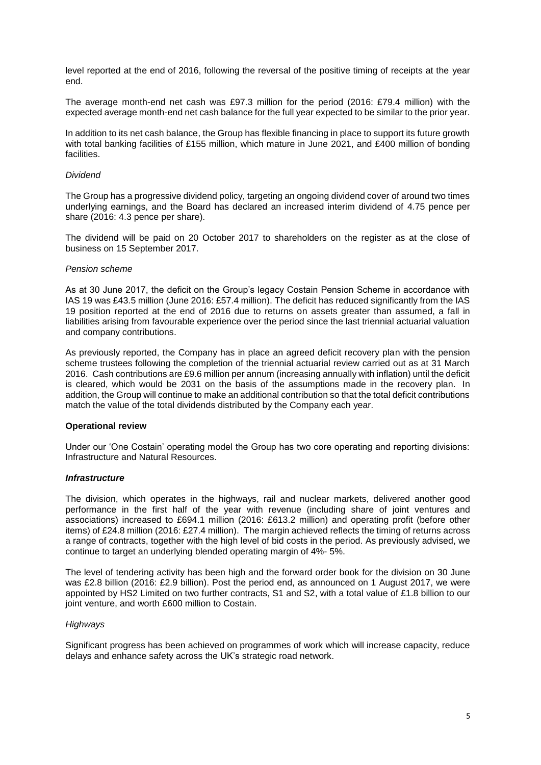level reported at the end of 2016, following the reversal of the positive timing of receipts at the year end.

The average month-end net cash was £97.3 million for the period (2016: £79.4 million) with the expected average month-end net cash balance for the full year expected to be similar to the prior year.

In addition to its net cash balance, the Group has flexible financing in place to support its future growth with total banking facilities of £155 million, which mature in June 2021, and £400 million of bonding facilities.

### *Dividend*

The Group has a progressive dividend policy, targeting an ongoing dividend cover of around two times underlying earnings, and the Board has declared an increased interim dividend of 4.75 pence per share (2016: 4.3 pence per share).

The dividend will be paid on 20 October 2017 to shareholders on the register as at the close of business on 15 September 2017.

### *Pension scheme*

As at 30 June 2017, the deficit on the Group's legacy Costain Pension Scheme in accordance with IAS 19 was £43.5 million (June 2016: £57.4 million). The deficit has reduced significantly from the IAS 19 position reported at the end of 2016 due to returns on assets greater than assumed, a fall in liabilities arising from favourable experience over the period since the last triennial actuarial valuation and company contributions.

As previously reported, the Company has in place an agreed deficit recovery plan with the pension scheme trustees following the completion of the triennial actuarial review carried out as at 31 March 2016. Cash contributions are £9.6 million per annum (increasing annually with inflation) until the deficit is cleared, which would be 2031 on the basis of the assumptions made in the recovery plan. In addition, the Group will continue to make an additional contribution so that the total deficit contributions match the value of the total dividends distributed by the Company each year.

## **Operational review**

Under our 'One Costain' operating model the Group has two core operating and reporting divisions: Infrastructure and Natural Resources.

## *Infrastructure*

The division, which operates in the highways, rail and nuclear markets, delivered another good performance in the first half of the year with revenue (including share of joint ventures and associations) increased to £694.1 million (2016: £613.2 million) and operating profit (before other items) of £24.8 million (2016: £27.4 million). The margin achieved reflects the timing of returns across a range of contracts, together with the high level of bid costs in the period. As previously advised, we continue to target an underlying blended operating margin of 4%- 5%.

The level of tendering activity has been high and the forward order book for the division on 30 June was £2.8 billion (2016: £2.9 billion). Post the period end, as announced on 1 August 2017, we were appointed by HS2 Limited on two further contracts, S1 and S2, with a total value of £1.8 billion to our joint venture, and worth £600 million to Costain.

## *Highways*

Significant progress has been achieved on programmes of work which will increase capacity, reduce delays and enhance safety across the UK's strategic road network.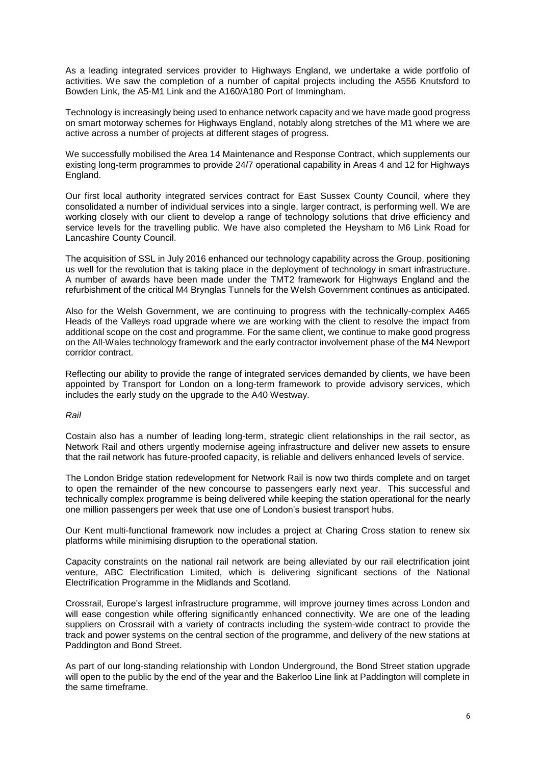As a leading integrated services provider to Highways England, we undertake a wide portfolio of activities. We saw the completion of a number of capital projects including the A556 Knutsford to Bowden Link, the A5-M1 Link and the A160/A180 Port of Immingham.

Technology is increasingly being used to enhance network capacity and we have made good progress on smart motorway schemes for Highways England, notably along stretches of the M1 where we are active across a number of projects at different stages of progress.

We successfully mobilised the Area 14 Maintenance and Response Contract, which supplements our existing long-term programmes to provide 24/7 operational capability in Areas 4 and 12 for Highways England.

Our first local authority integrated services contract for East Sussex County Council, where they consolidated a number of individual services into a single, larger contract, is performing well. We are working closely with our client to develop a range of technology solutions that drive efficiency and service levels for the travelling public. We have also completed the Heysham to M6 Link Road for Lancashire County Council.

The acquisition of SSL in July 2016 enhanced our technology capability across the Group, positioning us well for the revolution that is taking place in the deployment of technology in smart infrastructure. A number of awards have been made under the TMT2 framework for Highways England and the refurbishment of the critical M4 Brynglas Tunnels for the Welsh Government continues as anticipated.

Also for the Welsh Government, we are continuing to progress with the technically-complex A465 Heads of the Valleys road upgrade where we are working with the client to resolve the impact from additional scope on the cost and programme. For the same client, we continue to make good progress on the All-Wales technology framework and the early contractor involvement phase of the M4 Newport corridor contract.

Reflecting our ability to provide the range of integrated services demanded by clients, we have been appointed by Transport for London on a long-term framework to provide advisory services, which includes the early study on the upgrade to the A40 Westway.

## *Rail*

Costain also has a number of leading long-term, strategic client relationships in the rail sector, as Network Rail and others urgently modernise ageing infrastructure and deliver new assets to ensure that the rail network has future-proofed capacity, is reliable and delivers enhanced levels of service.

The London Bridge station redevelopment for Network Rail is now two thirds complete and on target to open the remainder of the new concourse to passengers early next year. This successful and technically complex programme is being delivered while keeping the station operational for the nearly one million passengers per week that use one of London's busiest transport hubs.

Our Kent multi-functional framework now includes a project at Charing Cross station to renew six platforms while minimising disruption to the operational station.

Capacity constraints on the national rail network are being alleviated by our rail electrification joint venture, ABC Electrification Limited, which is delivering significant sections of the National Electrification Programme in the Midlands and Scotland.

Crossrail, Europe's largest infrastructure programme, will improve journey times across London and will ease congestion while offering significantly enhanced connectivity. We are one of the leading suppliers on Crossrail with a variety of contracts including the system-wide contract to provide the track and power systems on the central section of the programme, and delivery of the new stations at Paddington and Bond Street.

As part of our long-standing relationship with London Underground, the Bond Street station upgrade will open to the public by the end of the year and the Bakerloo Line link at Paddington will complete in the same timeframe.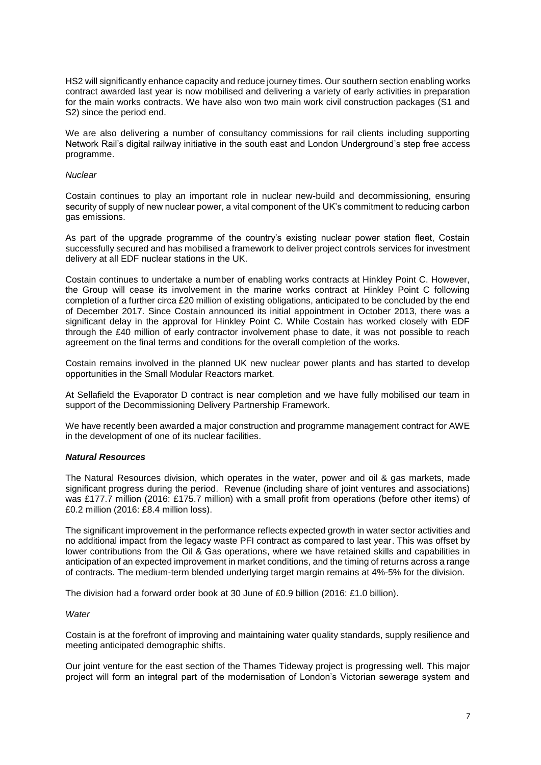HS2 will significantly enhance capacity and reduce journey times. Our southern section enabling works contract awarded last year is now mobilised and delivering a variety of early activities in preparation for the main works contracts. We have also won two main work civil construction packages (S1 and S2) since the period end.

We are also delivering a number of consultancy commissions for rail clients including supporting Network Rail's digital railway initiative in the south east and London Underground's step free access programme.

### *Nuclear*

Costain continues to play an important role in nuclear new-build and decommissioning, ensuring security of supply of new nuclear power, a vital component of the UK's commitment to reducing carbon gas emissions.

As part of the upgrade programme of the country's existing nuclear power station fleet, Costain successfully secured and has mobilised a framework to deliver project controls services for investment delivery at all EDF nuclear stations in the UK.

Costain continues to undertake a number of enabling works contracts at Hinkley Point C. However, the Group will cease its involvement in the marine works contract at Hinkley Point C following completion of a further circa £20 million of existing obligations, anticipated to be concluded by the end of December 2017. Since Costain announced its initial appointment in October 2013, there was a significant delay in the approval for Hinkley Point C. While Costain has worked closely with EDF through the £40 million of early contractor involvement phase to date, it was not possible to reach agreement on the final terms and conditions for the overall completion of the works.

Costain remains involved in the planned UK new nuclear power plants and has started to develop opportunities in the Small Modular Reactors market.

At Sellafield the Evaporator D contract is near completion and we have fully mobilised our team in support of the Decommissioning Delivery Partnership Framework.

We have recently been awarded a major construction and programme management contract for AWE in the development of one of its nuclear facilities.

## *Natural Resources*

The Natural Resources division, which operates in the water, power and oil & gas markets, made significant progress during the period. Revenue (including share of joint ventures and associations) was £177.7 million (2016: £175.7 million) with a small profit from operations (before other items) of £0.2 million (2016: £8.4 million loss).

The significant improvement in the performance reflects expected growth in water sector activities and no additional impact from the legacy waste PFI contract as compared to last year. This was offset by lower contributions from the Oil & Gas operations, where we have retained skills and capabilities in anticipation of an expected improvement in market conditions, and the timing of returns across a range of contracts. The medium-term blended underlying target margin remains at 4%-5% for the division.

The division had a forward order book at 30 June of £0.9 billion (2016: £1.0 billion).

### *Water*

Costain is at the forefront of improving and maintaining water quality standards, supply resilience and meeting anticipated demographic shifts.

Our joint venture for the east section of the Thames Tideway project is progressing well. This major project will form an integral part of the modernisation of London's Victorian sewerage system and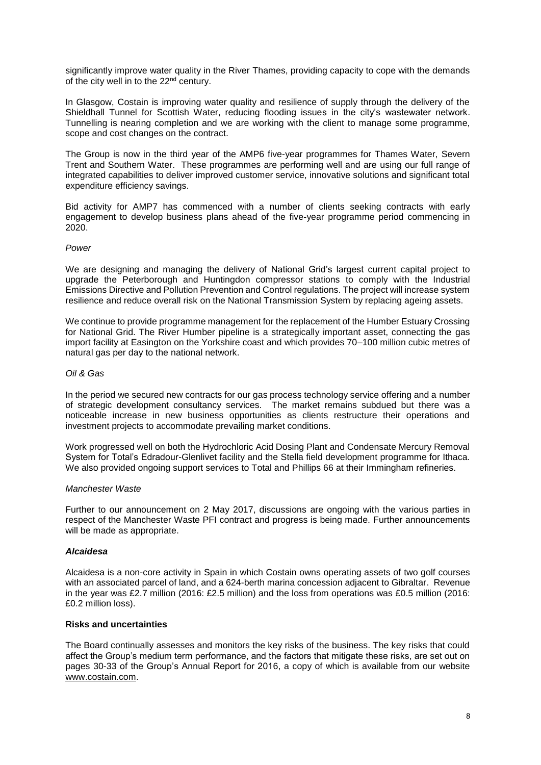significantly improve water quality in the River Thames, providing capacity to cope with the demands of the city well in to the 22<sup>nd</sup> century.

In Glasgow, Costain is improving water quality and resilience of supply through the delivery of the Shieldhall Tunnel for Scottish Water, reducing flooding issues in the city's wastewater network. Tunnelling is nearing completion and we are working with the client to manage some programme, scope and cost changes on the contract.

The Group is now in the third year of the AMP6 five-year programmes for Thames Water, Severn Trent and Southern Water. These programmes are performing well and are using our full range of integrated capabilities to deliver improved customer service, innovative solutions and significant total expenditure efficiency savings.

Bid activity for AMP7 has commenced with a number of clients seeking contracts with early engagement to develop business plans ahead of the five-year programme period commencing in 2020.

## *Power*

We are designing and managing the delivery of National Grid's largest current capital project to upgrade the Peterborough and Huntingdon compressor stations to comply with the Industrial Emissions Directive and Pollution Prevention and Control regulations. The project will increase system resilience and reduce overall risk on the National Transmission System by replacing ageing assets.

We continue to provide programme management for the replacement of the Humber Estuary Crossing for National Grid. The River Humber pipeline is a strategically important asset, connecting the gas import facility at Easington on the Yorkshire coast and which provides 70–100 million cubic metres of natural gas per day to the national network.

# *Oil & Gas*

In the period we secured new contracts for our gas process technology service offering and a number of strategic development consultancy services. The market remains subdued but there was a noticeable increase in new business opportunities as clients restructure their operations and investment projects to accommodate prevailing market conditions.

Work progressed well on both the Hydrochloric Acid Dosing Plant and Condensate Mercury Removal System for Total's Edradour-Glenlivet facility and the Stella field development programme for Ithaca. We also provided ongoing support services to Total and Phillips 66 at their Immingham refineries.

## *Manchester Waste*

Further to our announcement on 2 May 2017, discussions are ongoing with the various parties in respect of the Manchester Waste PFI contract and progress is being made. Further announcements will be made as appropriate.

## *Alcaidesa*

Alcaidesa is a non-core activity in Spain in which Costain owns operating assets of two golf courses with an associated parcel of land, and a 624-berth marina concession adjacent to Gibraltar. Revenue in the year was £2.7 million (2016: £2.5 million) and the loss from operations was £0.5 million (2016: £0.2 million loss).

## **Risks and uncertainties**

The Board continually assesses and monitors the key risks of the business. The key risks that could affect the Group's medium term performance, and the factors that mitigate these risks, are set out on pages 30-33 of the Group's Annual Report for 2016, a copy of which is available from our website www.costain.com.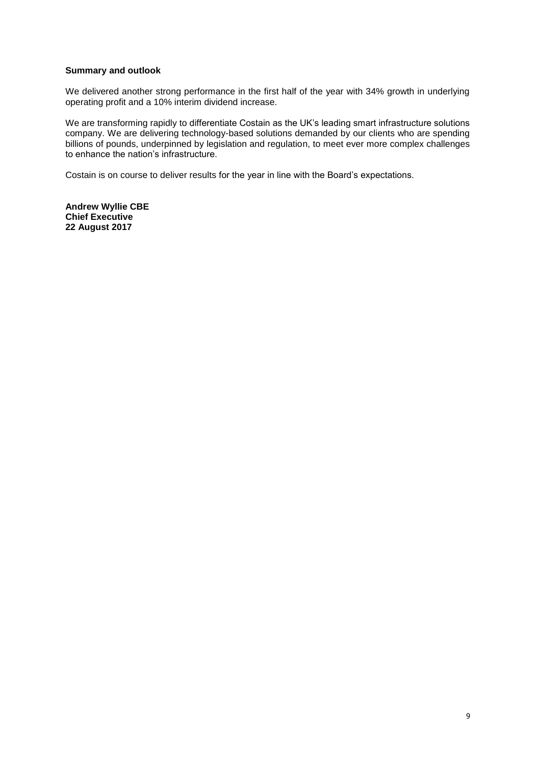# **Summary and outlook**

We delivered another strong performance in the first half of the year with 34% growth in underlying operating profit and a 10% interim dividend increase.

We are transforming rapidly to differentiate Costain as the UK's leading smart infrastructure solutions company. We are delivering technology-based solutions demanded by our clients who are spending billions of pounds, underpinned by legislation and regulation, to meet ever more complex challenges to enhance the nation's infrastructure.

Costain is on course to deliver results for the year in line with the Board's expectations.

**Andrew Wyllie CBE Chief Executive 22 August 2017**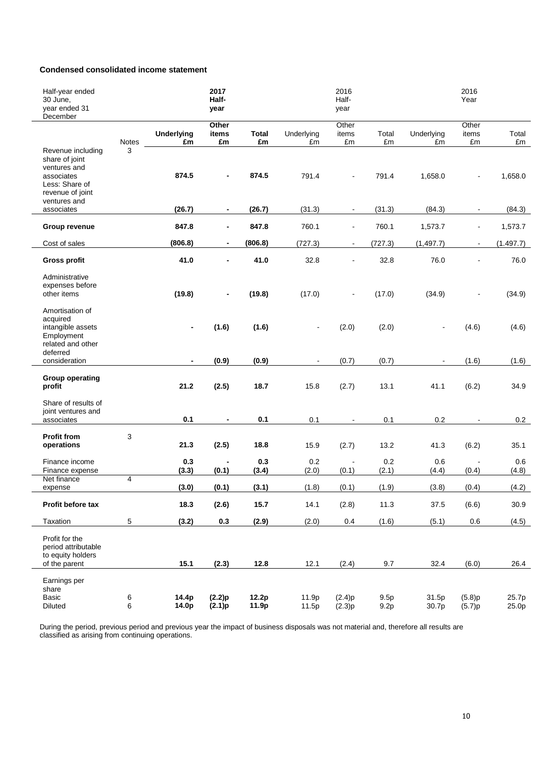# **Condensed consolidated income statement**

| Half-year ended<br>30 June,<br>year ended 31<br>December                                                                |                |                          | 2017<br>Half-<br>year    |                    |                  | 2016<br>Half-<br>year    |              |                  | 2016<br>Year         |                |
|-------------------------------------------------------------------------------------------------------------------------|----------------|--------------------------|--------------------------|--------------------|------------------|--------------------------|--------------|------------------|----------------------|----------------|
|                                                                                                                         | Notes          | <b>Underlying</b><br>£m  | Other<br>items<br>£m     | <b>Total</b><br>£m | Underlying<br>£m | Other<br>items<br>£m     | Total<br>£m  | Underlying<br>£m | Other<br>items<br>£m | Total<br>£m    |
| Revenue including<br>share of joint<br>ventures and<br>associates<br>Less: Share of<br>revenue of joint<br>ventures and | 3              | 874.5                    |                          | 874.5              | 791.4            |                          | 791.4        | 1,658.0          |                      | 1,658.0        |
| associates                                                                                                              |                | (26.7)                   | $\overline{\phantom{a}}$ | (26.7)             | (31.3)           | $\blacksquare$           | (31.3)       | (84.3)           |                      | (84.3)         |
| Group revenue                                                                                                           |                | 847.8                    | $\blacksquare$           | 847.8              | 760.1            | $\blacksquare$           | 760.1        | 1,573.7          |                      | 1,573.7        |
| Cost of sales                                                                                                           |                | (806.8)                  | $\blacksquare$           | (806.8)            | (727.3)          | $\blacksquare$           | (727.3)      | (1, 497.7)       | $\blacksquare$       | (1.497.7)      |
| <b>Gross profit</b>                                                                                                     |                | 41.0                     | $\blacksquare$           | 41.0               | 32.8             | $\blacksquare$           | 32.8         | 76.0             |                      | 76.0           |
| Administrative<br>expenses before<br>other items                                                                        |                | (19.8)                   | $\overline{\phantom{a}}$ | (19.8)             | (17.0)           | $\blacksquare$           | (17.0)       | (34.9)           | $\blacksquare$       | (34.9)         |
| Amortisation of<br>acquired<br>intangible assets<br>Employment<br>related and other<br>deferred                         |                | $\blacksquare$           | (1.6)                    | (1.6)              |                  | (2.0)                    | (2.0)        |                  | (4.6)                | (4.6)          |
| consideration                                                                                                           |                | $\overline{\phantom{a}}$ | (0.9)                    | (0.9)              |                  | (0.7)                    | (0.7)        |                  | (1.6)                | (1.6)          |
| <b>Group operating</b><br>profit                                                                                        |                | 21.2                     | (2.5)                    | 18.7               | 15.8             | (2.7)                    | 13.1         | 41.1             | (6.2)                | 34.9           |
| Share of results of<br>joint ventures and<br>associates                                                                 |                | 0.1                      | $\blacksquare$           | 0.1                | 0.1              | $\overline{\phantom{a}}$ | 0.1          | 0.2              |                      | 0.2            |
| <b>Profit from</b><br>operations                                                                                        | 3              | 21.3                     | (2.5)                    | 18.8               | 15.9             | (2.7)                    | 13.2         | 41.3             | (6.2)                | 35.1           |
| Finance income<br>Finance expense                                                                                       |                | 0.3<br>(3.3)             | (0.1)                    | 0.3<br>(3.4)       | 0.2<br>(2.0)     | (0.1)                    | 0.2<br>(2.1) | 0.6<br>(4.4)     | (0.4)                | 0.6<br>(4.8)   |
| Net finance                                                                                                             | $\overline{4}$ |                          |                          |                    |                  |                          |              |                  |                      |                |
| expense                                                                                                                 |                | (3.0)                    | (0.1)                    | (3.1)              | (1.8)            | (0.1)                    | (1.9)        | (3.8)            | (0.4)                | (4.2)          |
| Profit before tax                                                                                                       |                | 18.3                     | (2.6)                    | 15.7               | 14.1             | (2.8)                    | 11.3         | 37.5             | (6.6)                | 30.9           |
| Taxation                                                                                                                | 5              | (3.2)                    | 0.3                      | (2.9)              | (2.0)            | 0.4                      | (1.6)        | (5.1)            | 0.6                  | (4.5)          |
| Profit for the<br>period attributable<br>to equity holders<br>of the parent                                             |                | 15.1                     | (2.3)                    | 12.8               | 12.1             | (2.4)                    | 9.7          | 32.4             | (6.0)                | 26.4           |
| Earnings per<br>share<br>Basic<br><b>Diluted</b>                                                                        | 6<br>6         | 14.4p<br>14.0p           | (2.2)p<br>(2.1)p         | 12.2p<br>11.9p     | 11.9p<br>11.5p   | (2.4)p<br>(2.3)p         | 9.5p<br>9.2p | 31.5p<br>30.7p   | (5.8)p<br>(5.7)p     | 25.7p<br>25.0p |

During the period, previous period and previous year the impact of business disposals was not material and, therefore all results are classified as arising from continuing operations.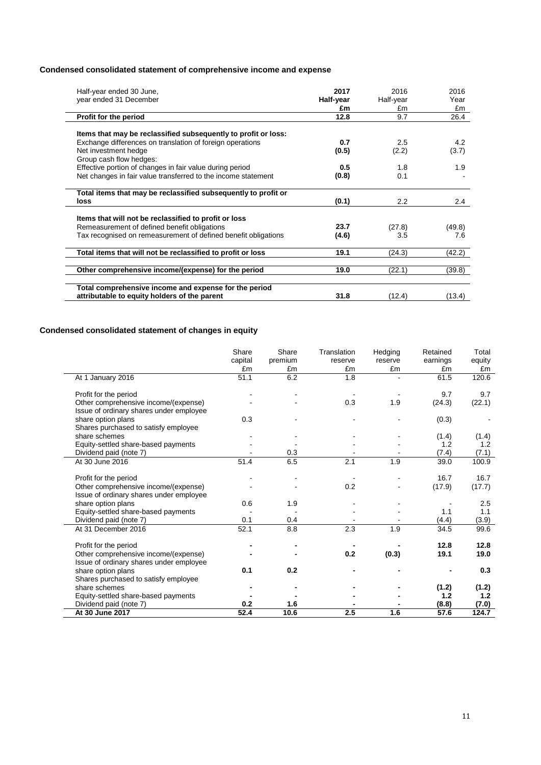# **Condensed consolidated statement of comprehensive income and expense**

| Half-year ended 30 June,<br>year ended 31 December             | 2017<br>Half-year | 2016<br>Half-year | 2016<br>Year  |
|----------------------------------------------------------------|-------------------|-------------------|---------------|
|                                                                | £m                | £m                | £m            |
| Profit for the period                                          | 12.8              | 9.7               | 26.4          |
|                                                                |                   |                   |               |
| Items that may be reclassified subsequently to profit or loss: |                   |                   |               |
| Exchange differences on translation of foreign operations      | 0.7               | 2.5               | 4.2           |
| Net investment hedge                                           | (0.5)             | (2.2)             | (3.7)         |
| Group cash flow hedges:                                        |                   |                   |               |
| Effective portion of changes in fair value during period       | 0.5               | 1.8               | 1.9           |
| Net changes in fair value transferred to the income statement  | (0.8)             | 0.1               |               |
|                                                                |                   |                   |               |
| Total items that may be reclassified subsequently to profit or |                   |                   |               |
| loss                                                           | (0.1)             | $2.2\phantom{0}$  | $2.4^{\circ}$ |
|                                                                |                   |                   |               |
| Items that will not be reclassified to profit or loss          |                   |                   |               |
| Remeasurement of defined benefit obligations                   | 23.7              | (27.8)            | (49.8)        |
| Tax recognised on remeasurement of defined benefit obligations | (4.6)             | 3.5               | 7.6           |
|                                                                |                   |                   |               |
| Total items that will not be reclassified to profit or loss    | 19.1              | (24.3)            | (42.2)        |
|                                                                |                   |                   |               |
| Other comprehensive income/(expense) for the period            | 19.0              | (22.1)            | (39.8)        |
|                                                                |                   |                   |               |
| Total comprehensive income and expense for the period          |                   |                   |               |
| attributable to equity holders of the parent                   | 31.8              | (12.4)            | (13.4)        |
|                                                                |                   |                   |               |

# **Condensed consolidated statement of changes in equity**

|                                         | Share<br>capital<br>£m | Share<br>premium<br>£m | Translation<br>reserve<br>£m | Hedging<br>reserve<br>£m | Retained<br>earnings<br>£m | Total<br>equity<br>£m |
|-----------------------------------------|------------------------|------------------------|------------------------------|--------------------------|----------------------------|-----------------------|
| At 1 January 2016                       | 51.1                   | 6.2                    | 1.8                          |                          | 61.5                       | 120.6                 |
| Profit for the period                   |                        |                        |                              |                          | 9.7                        | 9.7                   |
| Other comprehensive income/(expense)    |                        |                        | 0.3                          | 1.9                      | (24.3)                     | (22.1)                |
| Issue of ordinary shares under employee |                        |                        |                              |                          |                            |                       |
| share option plans                      | 0.3                    |                        |                              |                          | (0.3)                      |                       |
| Shares purchased to satisfy employee    |                        |                        |                              |                          |                            |                       |
| share schemes                           |                        |                        |                              |                          | (1.4)                      | (1.4)                 |
| Equity-settled share-based payments     |                        |                        |                              |                          | 1.2                        | 1.2                   |
| Dividend paid (note 7)                  |                        | 0.3                    |                              |                          | (7.4)                      | (7.1)                 |
| At 30 June 2016                         | 51.4                   | 6.5                    | 2.1                          | 1.9                      | 39.0                       | 100.9                 |
| Profit for the period                   |                        |                        |                              |                          | 16.7                       | 16.7                  |
| Other comprehensive income/(expense)    |                        |                        | 0.2                          |                          | (17.9)                     | (17.7)                |
| Issue of ordinary shares under employee |                        |                        |                              |                          |                            |                       |
| share option plans                      | 0.6                    | 1.9                    |                              |                          |                            | 2.5                   |
| Equity-settled share-based payments     |                        |                        |                              |                          | 1.1                        | 1.1                   |
| Dividend paid (note 7)                  | 0.1                    | 0.4                    |                              |                          | (4.4)                      | (3.9)                 |
| At 31 December 2016                     | 52.1                   | 8.8                    | 2.3                          | 1.9                      | 34.5                       | 99.6                  |
| Profit for the period                   |                        |                        |                              |                          | 12.8                       | 12.8                  |
| Other comprehensive income/(expense)    |                        |                        | 0.2                          | (0.3)                    | 19.1                       | 19.0                  |
| Issue of ordinary shares under employee |                        |                        |                              |                          |                            |                       |
| share option plans                      | 0.1                    | 0.2                    |                              |                          |                            | 0.3                   |
| Shares purchased to satisfy employee    |                        |                        |                              |                          |                            |                       |
| share schemes                           |                        |                        |                              |                          | (1.2)                      | (1.2)                 |
| Equity-settled share-based payments     |                        |                        |                              |                          | 1.2                        | 1.2                   |
| Dividend paid (note 7)                  | 0.2                    | 1.6                    |                              |                          | (8.8)                      | (7.0)                 |
| At 30 June 2017                         | 52.4                   | 10.6                   | 2.5                          | 1.6                      | 57.6                       | 124.7                 |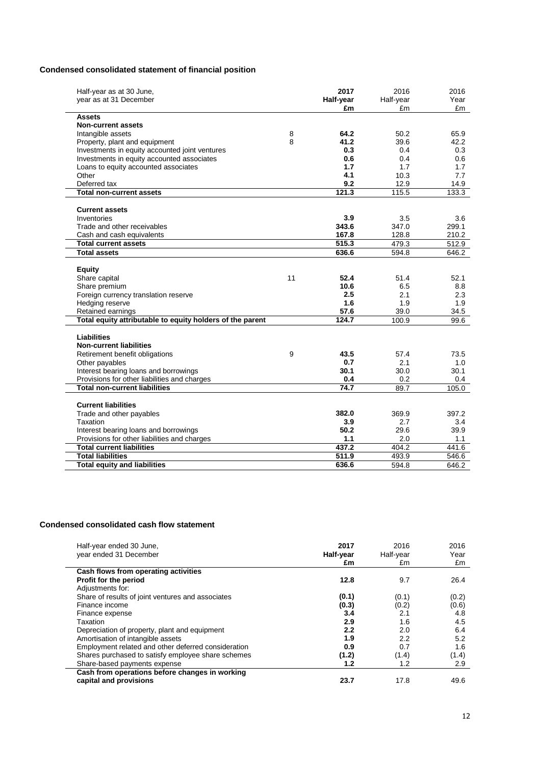# **Condensed consolidated statement of financial position**

| Half-year as at 30 June,<br>year as at 31 December        |    | 2017<br>Half-year | 2016<br>Half-year | 2016<br>Year |
|-----------------------------------------------------------|----|-------------------|-------------------|--------------|
| <b>Assets</b>                                             |    | £m                | £m                | £m           |
| <b>Non-current assets</b>                                 |    |                   |                   |              |
| Intangible assets                                         | 8  | 64.2              | 50.2              | 65.9         |
| Property, plant and equipment                             | 8  | 41.2              | 39.6              | 42.2         |
| Investments in equity accounted joint ventures            |    | 0.3               | 0.4               | 0.3          |
| Investments in equity accounted associates                |    | 0.6               | 0.4               | 0.6          |
| Loans to equity accounted associates                      |    | 1.7               | 1.7               | 1.7          |
| Other                                                     |    | 4.1               | 10.3              | 7.7          |
| Deferred tax                                              |    | 9.2               | 12.9              | 14.9         |
| <b>Total non-current assets</b>                           |    | 121.3             | 115.5             | 133.3        |
| <b>Current assets</b>                                     |    |                   |                   |              |
| Inventories                                               |    | 3.9               | 3.5               | 3.6          |
| Trade and other receivables                               |    | 343.6             | 347.0             | 299.1        |
| Cash and cash equivalents                                 |    | 167.8             | 128.8             | 210.2        |
| <b>Total current assets</b>                               |    | 515.3             | 479.3             | 512.9        |
| <b>Total assets</b>                                       |    | 636.6             | 594.8             | 646.2        |
|                                                           |    |                   |                   |              |
| <b>Equity</b>                                             |    |                   |                   |              |
| Share capital                                             | 11 | 52.4              | 51.4              | 52.1         |
| Share premium                                             |    | 10.6              | 6.5               | 8.8          |
| Foreign currency translation reserve                      |    | 2.5               | 2.1               | 2.3          |
| Hedging reserve                                           |    | 1.6               | 1.9               | 1.9          |
| Retained earnings                                         |    | 57.6              | 39.0              | 34.5         |
| Total equity attributable to equity holders of the parent |    | 124.7             | 100.9             | 99.6         |
| <b>Liabilities</b>                                        |    |                   |                   |              |
| <b>Non-current liabilities</b>                            |    |                   |                   |              |
| Retirement benefit obligations                            | 9  | 43.5              | 57.4              | 73.5         |
| Other payables                                            |    | 0.7               | 2.1               | 1.0          |
| Interest bearing loans and borrowings                     |    | 30.1              | 30.0              | 30.1         |
| Provisions for other liabilities and charges              |    | 0.4               | 0.2               | 0.4          |
| <b>Total non-current liabilities</b>                      |    | 74.7              | 89.7              | 105.0        |
| <b>Current liabilities</b>                                |    |                   |                   |              |
| Trade and other payables                                  |    | 382.0             | 369.9             | 397.2        |
| Taxation                                                  |    | 3.9               | 2.7               | 3.4          |
| Interest bearing loans and borrowings                     |    | 50.2              | 29.6              | 39.9         |
| Provisions for other liabilities and charges              |    | 1.1               | 2.0               | 1.1          |
| <b>Total current liabilities</b>                          |    | 437.2             | 404.2             | 441.6        |
| <b>Total liabilities</b>                                  |    | 511.9             | 493.9             | 546.6        |
| <b>Total equity and liabilities</b>                       |    | 636.6             | 594.8             | 646.2        |

# **Condensed consolidated cash flow statement**

| Half-year ended 30 June,<br>year ended 31 December                       | 2017<br>Half-year<br>£m | 2016<br>Half-year<br>£m | 2016<br>Year<br>£m |
|--------------------------------------------------------------------------|-------------------------|-------------------------|--------------------|
| Cash flows from operating activities                                     |                         |                         |                    |
| Profit for the period                                                    | 12.8                    | 9.7                     | 26.4               |
| Adjustments for:                                                         |                         |                         |                    |
| Share of results of joint ventures and associates                        | (0.1)                   | (0.1)                   | (0.2)              |
| Finance income                                                           | (0.3)                   | (0.2)                   | (0.6)              |
| Finance expense                                                          | 3.4                     | 2.1                     | 4.8                |
| <b>Taxation</b>                                                          | 2.9                     | 1.6                     | 4.5                |
| Depreciation of property, plant and equipment                            | 2.2                     | 2.0                     | 6.4                |
| Amortisation of intangible assets                                        | 1.9                     | 2.2                     | 5.2                |
| Employment related and other deferred consideration                      | 0.9                     | 0.7                     | 1.6                |
| Shares purchased to satisfy employee share schemes                       | (1.2)                   | (1.4)                   | (1.4)              |
| Share-based payments expense                                             | 1.2                     | 1.2                     | 2.9                |
| Cash from operations before changes in working<br>capital and provisions | 23.7                    | 17.8                    | 49.6               |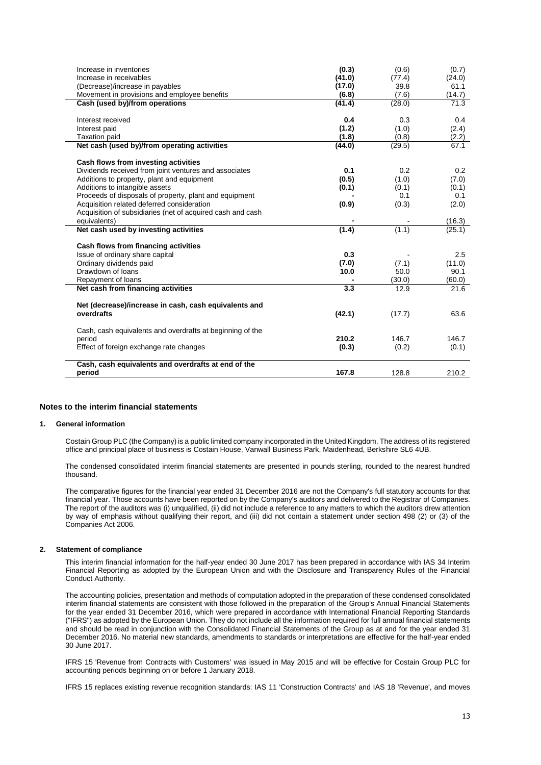| Increase in inventories                                    | (0.3)  | (0.6)  | (0.7)  |
|------------------------------------------------------------|--------|--------|--------|
| Increase in receivables                                    | (41.0) | (77.4) | (24.0) |
| (Decrease)/increase in payables                            | (17.0) | 39.8   | 61.1   |
| Movement in provisions and employee benefits               | (6.8)  | (7.6)  | (14.7) |
| Cash (used by)/from operations                             | (41.4) | (28.0) | 71.3   |
| Interest received                                          | 0.4    | 0.3    | 0.4    |
| Interest paid                                              | (1.2)  | (1.0)  | (2.4)  |
| <b>Taxation paid</b>                                       | (1.8)  | (0.8)  | (2.2)  |
| Net cash (used by)/from operating activities               | (44.0) | (29.5) | 67.1   |
|                                                            |        |        |        |
| Cash flows from investing activities                       |        |        |        |
| Dividends received from joint ventures and associates      | 0.1    | 0.2    | 0.2    |
| Additions to property, plant and equipment                 | (0.5)  | (1.0)  | (7.0)  |
| Additions to intangible assets                             | (0.1)  | (0.1)  | (0.1)  |
| Proceeds of disposals of property, plant and equipment     |        | 0.1    | 0.1    |
| Acquisition related deferred consideration                 | (0.9)  | (0.3)  | (2.0)  |
| Acquisition of subsidiaries (net of acquired cash and cash |        |        |        |
| equivalents)                                               |        |        | (16.3) |
| Net cash used by investing activities                      | (1.4)  | (1.1)  | (25.1) |
| Cash flows from financing activities                       |        |        |        |
| Issue of ordinary share capital                            | 0.3    |        | 2.5    |
| Ordinary dividends paid                                    | (7.0)  | (7.1)  | (11.0) |
| Drawdown of loans                                          | 10.0   | 50.0   | 90.1   |
| Repayment of loans                                         |        | (30.0) | (60.0) |
| Net cash from financing activities                         | 3.3    | 12.9   | 21.6   |
|                                                            |        |        |        |
| Net (decrease)/increase in cash, cash equivalents and      |        |        |        |
| overdrafts                                                 | (42.1) | (17.7) | 63.6   |
|                                                            |        |        |        |
| Cash, cash equivalents and overdrafts at beginning of the  |        |        |        |
| period                                                     | 210.2  | 146.7  | 146.7  |
| Effect of foreign exchange rate changes                    | (0.3)  | (0.2)  | (0.1)  |
| Cash, cash equivalents and overdrafts at end of the        |        |        |        |
| period                                                     | 167.8  | 128.8  | 210.2  |
|                                                            |        |        |        |

### **Notes to the interim financial statements**

### **1. General information**

Costain Group PLC (the Company) is a public limited company incorporated in the United Kingdom. The address of its registered office and principal place of business is Costain House, Vanwall Business Park, Maidenhead, Berkshire SL6 4UB.

The condensed consolidated interim financial statements are presented in pounds sterling, rounded to the nearest hundred thousand.

The comparative figures for the financial year ended 31 December 2016 are not the Company's full statutory accounts for that financial year. Those accounts have been reported on by the Company's auditors and delivered to the Registrar of Companies. The report of the auditors was (i) unqualified, (ii) did not include a reference to any matters to which the auditors drew attention by way of emphasis without qualifying their report, and (iii) did not contain a statement under section 498 (2) or (3) of the Companies Act 2006.

### **2. Statement of compliance**

This interim financial information for the half-year ended 30 June 2017 has been prepared in accordance with IAS 34 Interim Financial Reporting as adopted by the European Union and with the Disclosure and Transparency Rules of the Financial Conduct Authority.

The accounting policies, presentation and methods of computation adopted in the preparation of these condensed consolidated interim financial statements are consistent with those followed in the preparation of the Group's Annual Financial Statements for the year ended 31 December 2016, which were prepared in accordance with International Financial Reporting Standards ("IFRS") as adopted by the European Union. They do not include all the information required for full annual financial statements and should be read in conjunction with the Consolidated Financial Statements of the Group as at and for the year ended 31 December 2016. No material new standards, amendments to standards or interpretations are effective for the half-year ended 30 June 2017.

IFRS 15 'Revenue from Contracts with Customers' was issued in May 2015 and will be effective for Costain Group PLC for accounting periods beginning on or before 1 January 2018.

IFRS 15 replaces existing revenue recognition standards: IAS 11 'Construction Contracts' and IAS 18 'Revenue', and moves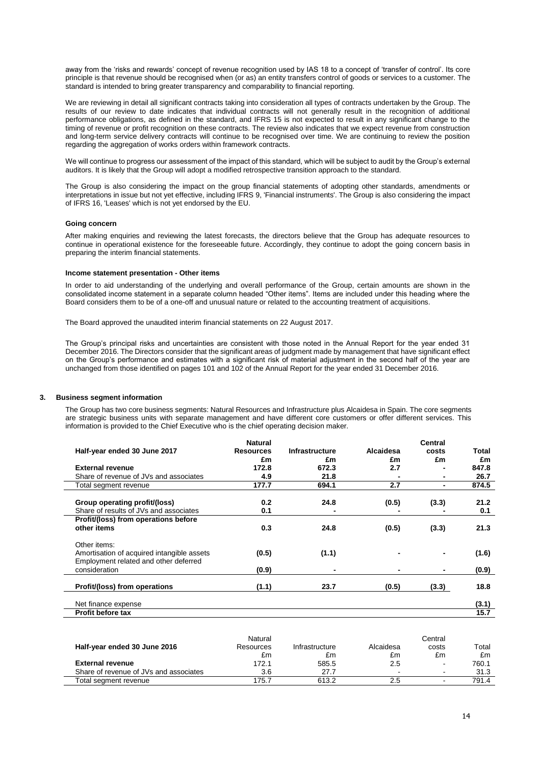away from the 'risks and rewards' concept of revenue recognition used by IAS 18 to a concept of 'transfer of control'. Its core principle is that revenue should be recognised when (or as) an entity transfers control of goods or services to a customer. The standard is intended to bring greater transparency and comparability to financial reporting.

We are reviewing in detail all significant contracts taking into consideration all types of contracts undertaken by the Group. The results of our review to date indicates that individual contracts will not generally result in the recognition of additional performance obligations, as defined in the standard, and IFRS 15 is not expected to result in any significant change to the timing of revenue or profit recognition on these contracts. The review also indicates that we expect revenue from construction and long-term service delivery contracts will continue to be recognised over time. We are continuing to review the position regarding the aggregation of works orders within framework contracts.

We will continue to progress our assessment of the impact of this standard, which will be subject to audit by the Group's external auditors. It is likely that the Group will adopt a modified retrospective transition approach to the standard.

The Group is also considering the impact on the group financial statements of adopting other standards, amendments or interpretations in issue but not yet effective, including IFRS 9, 'Financial instruments'. The Group is also considering the impact of IFRS 16, 'Leases' which is not yet endorsed by the EU.

#### **Going concern**

After making enquiries and reviewing the latest forecasts, the directors believe that the Group has adequate resources to continue in operational existence for the foreseeable future. Accordingly, they continue to adopt the going concern basis in preparing the interim financial statements.

#### **Income statement presentation - Other items**

In order to aid understanding of the underlying and overall performance of the Group, certain amounts are shown in the consolidated income statement in a separate column headed "Other items". Items are included under this heading where the Board considers them to be of a one-off and unusual nature or related to the accounting treatment of acquisitions.

The Board approved the unaudited interim financial statements on 22 August 2017.

The Group's principal risks and uncertainties are consistent with those noted in the Annual Report for the year ended 31 December 2016. The Directors consider that the significant areas of judgment made by management that have significant effect on the Group's performance and estimates with a significant risk of material adjustment in the second half of the year are unchanged from those identified on pages 101 and 102 of the Annual Report for the year ended 31 December 2016.

### **3. Business segment information**

The Group has two core business segments: Natural Resources and Infrastructure plus Alcaidesa in Spain. The core segments are strategic business units with separate management and have different core customers or offer different services. This information is provided to the Chief Executive who is the chief operating decision maker.

|                                                        | <b>Natural</b>   |                       |           | <b>Central</b> |       |
|--------------------------------------------------------|------------------|-----------------------|-----------|----------------|-------|
| Half-year ended 30 June 2017                           | <b>Resources</b> | <b>Infrastructure</b> | Alcaidesa | costs          | Total |
|                                                        | £m               | £m                    | £m        | £m             | £m    |
| <b>External revenue</b>                                | 172.8            | 672.3                 | 2.7       |                | 847.8 |
| Share of revenue of JVs and associates                 | 4.9              | 21.8                  |           | ۰              | 26.7  |
| Total segment revenue                                  | 177.7            | 694.1                 | 2.7       |                | 874.5 |
| Group operating profit/(loss)                          | 0.2              | 24.8                  | (0.5)     | (3.3)          | 21.2  |
| Share of results of JVs and associates                 | 0.1              |                       |           |                | 0.1   |
| Profit/(loss) from operations before                   |                  |                       |           |                |       |
| other items                                            | 0.3              | 24.8                  | (0.5)     | (3.3)          | 21.3  |
| Other items:                                           |                  |                       |           |                |       |
| Amortisation of acquired intangible assets             | (0.5)            | (1.1)                 |           |                | (1.6) |
| Employment related and other deferred<br>consideration | (0.9)            |                       |           | -              | (0.9) |
|                                                        |                  |                       |           |                |       |
| Profit/(loss) from operations                          | (1.1)            | 23.7                  | (0.5)     | (3.3)          | 18.8  |
| Net finance expense                                    |                  |                       |           |                | (3.1) |
| Profit before tax                                      |                  |                       |           |                | 15.7  |
|                                                        |                  |                       |           |                |       |

|                                        | Natural   |                |           | Central |       |
|----------------------------------------|-----------|----------------|-----------|---------|-------|
| Half-year ended 30 June 2016           | Resources | Infrastructure | Alcaidesa | costs   | Total |
|                                        | £m        | £m             | £m        | £m      | £m    |
| <b>External revenue</b>                | 172.1     | 585.5          | 2.5       | -       | 760.1 |
| Share of revenue of JVs and associates | 3.6       | 27.7           |           | ۰.      | 31.3  |
| Total segment revenue                  | 175.7     | 613.2          | 2.5       | ۰       | 791.4 |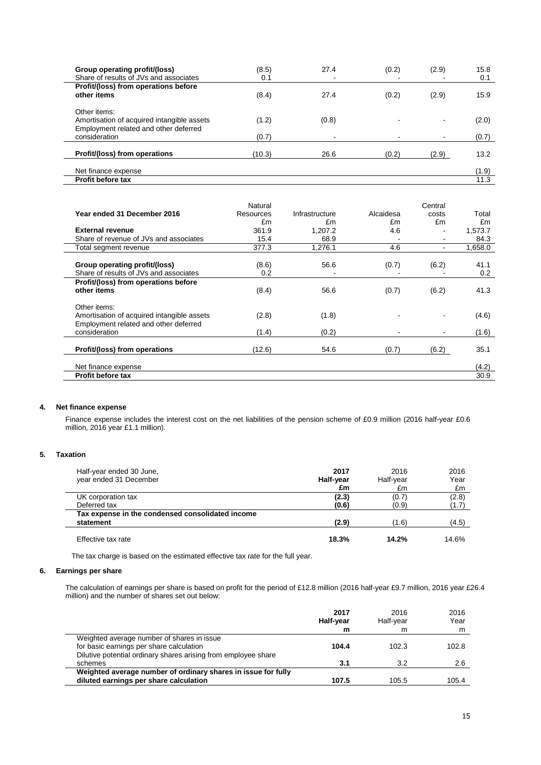| Group operating profit/(loss)              | (8.5)  | 27.4                     | (0.2) | (2.9) | 15.8  |
|--------------------------------------------|--------|--------------------------|-------|-------|-------|
| Share of results of JVs and associates     | 0.1    |                          |       |       | 0.1   |
| Profit/(loss) from operations before       |        |                          |       |       |       |
| other items                                | (8.4)  | 27.4                     | (0.2) | (2.9) | 15.9  |
| Other items:                               |        |                          |       |       |       |
| Amortisation of acquired intangible assets | (1.2)  | (0.8)                    |       |       | (2.0) |
| Employment related and other deferred      |        |                          |       |       |       |
| consideration                              | (0.7)  | $\overline{\phantom{0}}$ |       |       | (0.7) |
| Profit/(loss) from operations              | (10.3) | 26.6                     | (0.2) | (2.9) | 13.2  |
| Net finance expense                        |        |                          |       |       | (1.9) |
| <b>Profit before tax</b>                   |        |                          |       |       | 11.3  |

|                                            | Natural   |                |           | Central                  |         |
|--------------------------------------------|-----------|----------------|-----------|--------------------------|---------|
| Year ended 31 December 2016                | Resources | Infrastructure | Alcaidesa | costs                    | Total   |
|                                            | £m        | £m             | £m        | £m                       | £m      |
| <b>External revenue</b>                    | 361.9     | 1.207.2        | 4.6       |                          | 1,573.7 |
| Share of revenue of JVs and associates     | 15.4      | 68.9           |           |                          | 84.3    |
| Total segment revenue                      | 377.3     | 1,276.1        | 4.6       | $\overline{\phantom{0}}$ | 1,658.0 |
|                                            |           |                |           |                          |         |
| Group operating profit/(loss)              | (8.6)     | 56.6           | (0.7)     | (6.2)                    | 41.1    |
| Share of results of JVs and associates     | 0.2       |                |           |                          | 0.2     |
| Profit/(loss) from operations before       |           |                |           |                          |         |
| other items                                | (8.4)     | 56.6           | (0.7)     | (6.2)                    | 41.3    |
|                                            |           |                |           |                          |         |
| Other items:                               |           |                |           |                          |         |
| Amortisation of acquired intangible assets | (2.8)     | (1.8)          |           |                          | (4.6)   |
| Employment related and other deferred      |           |                |           |                          |         |
| consideration                              | (1.4)     | (0.2)          |           |                          | (1.6)   |
|                                            |           |                |           |                          |         |
| Profit/(loss) from operations              | (12.6)    | 54.6           | (0.7)     | (6.2)                    | 35.1    |
| Net finance expense                        |           |                |           |                          | (4.2)   |
|                                            |           |                |           |                          |         |
| <b>Profit before tax</b>                   |           |                |           |                          | 30.9    |

### **4. Net finance expense**

Finance expense includes the interest cost on the net liabilities of the pension scheme of £0.9 million (2016 half-year £0.6 million, 2016 year £1.1 million).

### **5. Taxation**

 $\mathcal{L}$  $\overline{\phantom{a}}$ 

| Half-year ended 30 June,<br>year ended 31 December            | 2017<br>Half-year<br>£m | 2016<br>Half-year<br>£m | 2016<br>Year<br>£m |
|---------------------------------------------------------------|-------------------------|-------------------------|--------------------|
| UK corporation tax                                            | (2.3)                   | (0.7)                   | (2.8)              |
| Deferred tax                                                  | (0.6)                   | (0.9)                   | (1.7)              |
| Tax expense in the condensed consolidated income<br>statement | (2.9)                   | (1.6)                   | (4.5)              |
| Effective tax rate                                            | 18.3%                   | 14.2%                   | 14.6%              |

The tax charge is based on the estimated effective tax rate for the full year.

### **6. Earnings per share**

The calculation of earnings per share is based on profit for the period of £12.8 million (2016 half-year £9.7 million, 2016 year £26.4 million) and the number of shares set out below:

|                                                                | 2017<br>Half-year | 2016<br>Half-vear | 2016<br>Year |
|----------------------------------------------------------------|-------------------|-------------------|--------------|
|                                                                | m                 | m                 | m            |
| Weighted average number of shares in issue                     |                   |                   |              |
| for basic earnings per share calculation                       | 104.4             | 102.3             | 102.8        |
| Dilutive potential ordinary shares arising from employee share |                   |                   |              |
| schemes                                                        | 3.1               | 3.2               | 2.6          |
| Weighted average number of ordinary shares in issue for fully  |                   |                   |              |
| diluted earnings per share calculation                         | 107.5             | 105.5             | 105.4        |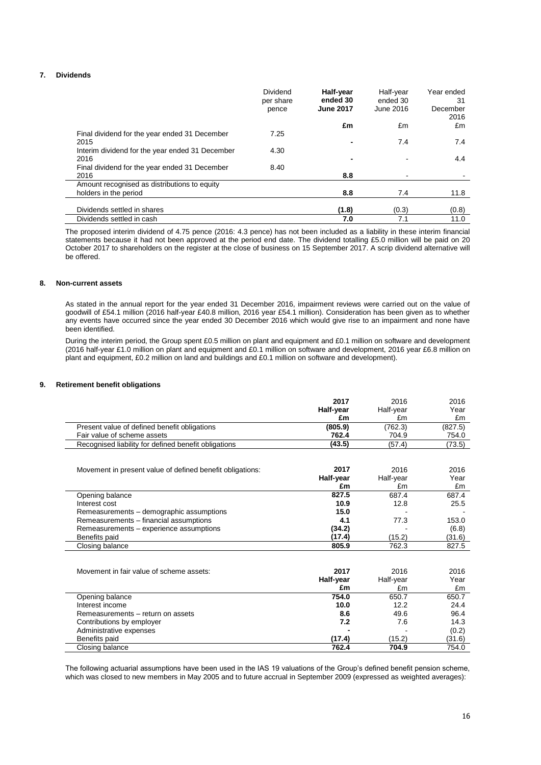### **7. Dividends**

|                                                 | Dividend<br>per share<br>pence | Half-year<br>ended 30<br><b>June 2017</b> | Half-year<br>ended 30<br>June 2016 | Year ended<br>31<br>December<br>2016 |
|-------------------------------------------------|--------------------------------|-------------------------------------------|------------------------------------|--------------------------------------|
|                                                 |                                | £m                                        | £m                                 | £m                                   |
| Final dividend for the year ended 31 December   | 7.25                           |                                           |                                    |                                      |
| 2015                                            |                                | -                                         | 7.4                                | 7.4                                  |
| Interim dividend for the year ended 31 December | 4.30                           |                                           |                                    |                                      |
| 2016                                            |                                | -                                         |                                    | 4.4                                  |
| Final dividend for the year ended 31 December   | 8.40                           |                                           |                                    |                                      |
| 2016                                            |                                | 8.8                                       |                                    |                                      |
| Amount recognised as distributions to equity    |                                |                                           |                                    |                                      |
| holders in the period                           |                                | 8.8                                       | 7.4                                | 11.8                                 |
|                                                 |                                |                                           |                                    |                                      |
| Dividends settled in shares                     |                                | (1.8)                                     | (0.3)                              | (0.8)                                |
| Dividends settled in cash                       |                                | 7.0                                       | 7.1                                | 11.0                                 |

The proposed interim dividend of 4.75 pence (2016: 4.3 pence) has not been included as a liability in these interim financial statements because it had not been approved at the period end date. The dividend totalling £5.0 million will be paid on 20 October 2017 to shareholders on the register at the close of business on 15 September 2017. A scrip dividend alternative will be offered.

### **8. Non-current assets**

As stated in the annual report for the year ended 31 December 2016, impairment reviews were carried out on the value of goodwill of £54.1 million (2016 half-year £40.8 million, 2016 year £54.1 million). Consideration has been given as to whether any events have occurred since the year ended 30 December 2016 which would give rise to an impairment and none have been identified.

During the interim period, the Group spent £0.5 million on plant and equipment and £0.1 million on software and development (2016 half-year £1.0 million on plant and equipment and £0.1 million on software and development, 2016 year £6.8 million on plant and equipment, £0.2 million on land and buildings and £0.1 million on software and development).

#### **9. Retirement benefit obligations**

|                                                           | 2017      | 2016      | 2016    |
|-----------------------------------------------------------|-----------|-----------|---------|
|                                                           | Half-year | Half-year | Year    |
|                                                           | £m        | £m        | £m      |
| Present value of defined benefit obligations              | (805.9)   | (762.3)   | (827.5) |
| Fair value of scheme assets                               | 762.4     | 704.9     | 754.0   |
| Recognised liability for defined benefit obligations      | (43.5)    | (57.4)    | (73.5)  |
|                                                           |           |           |         |
|                                                           |           |           |         |
| Movement in present value of defined benefit obligations: | 2017      | 2016      | 2016    |
|                                                           | Half-year | Half-year | Year    |
|                                                           | £m        | £m        | £m      |
| Opening balance                                           | 827.5     | 687.4     | 687.4   |
| Interest cost                                             | 10.9      | 12.8      | 25.5    |
| Remeasurements - demographic assumptions                  | 15.0      |           |         |
| Remeasurements - financial assumptions                    | 4.1       | 77.3      | 153.0   |
| Remeasurements - experience assumptions                   | (34.2)    |           | (6.8)   |
| Benefits paid                                             | (17.4)    | (15.2)    | (31.6)  |
| Closing balance                                           | 805.9     | 762.3     | 827.5   |
|                                                           |           |           |         |
|                                                           |           |           |         |
| Movement in fair value of scheme assets:                  | 2017      | 2016      | 2016    |
|                                                           | Half-year | Half-year | Year    |
|                                                           | £m        | £m        | £m      |
| Opening balance                                           | 754.0     | 650.7     | 650.7   |
| Interest income                                           | 10.0      | 12.2      | 24.4    |
| Remeasurements - return on assets                         | 8.6       | 49.6      | 96.4    |
| Contributions by employer                                 | 7.2       | 7.6       | 14.3    |
| Administrative expenses                                   |           |           | (0.2)   |
| Benefits paid                                             | (17.4)    | (15.2)    | (31.6)  |
| Closing balance                                           | 762.4     | 704.9     | 754.0   |

The following actuarial assumptions have been used in the IAS 19 valuations of the Group's defined benefit pension scheme, which was closed to new members in May 2005 and to future accrual in September 2009 (expressed as weighted averages):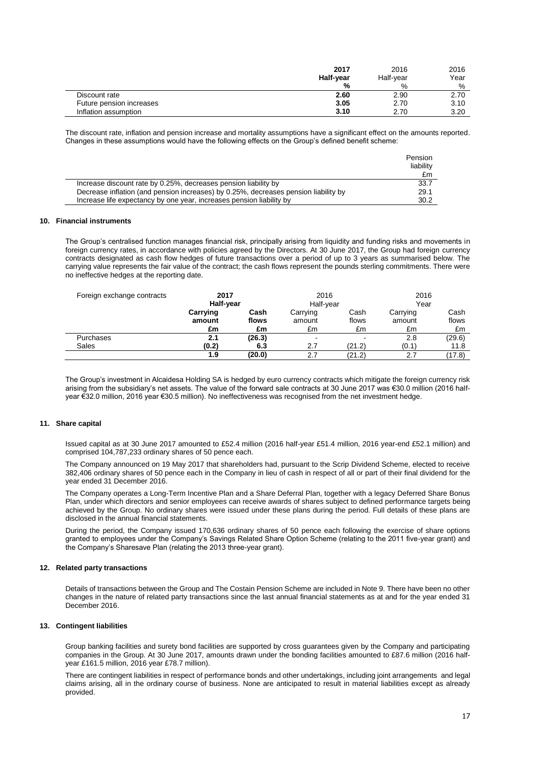|                          | 2017      | 2016      | 2016 |
|--------------------------|-----------|-----------|------|
|                          | Half-year | Half-vear | Year |
|                          | %         | %         | %    |
| Discount rate            | 2.60      | 2.90      | 2.70 |
| Future pension increases | 3.05      | 2.70      | 3.10 |
| Inflation assumption     | 3.10      | 2.70      | 3.20 |

The discount rate, inflation and pension increase and mortality assumptions have a significant effect on the amounts reported. Changes in these assumptions would have the following effects on the Group's defined benefit scheme:

|                                                                                     | Pension<br>liability |
|-------------------------------------------------------------------------------------|----------------------|
|                                                                                     | £m                   |
| Increase discount rate by 0.25%, decreases pension liability by                     | 33.7                 |
| Decrease inflation (and pension increases) by 0.25%, decreases pension liability by | 29.1                 |
| Increase life expectancy by one year, increases pension liability by                | 30.2                 |

#### **10. Financial instruments**

The Group's centralised function manages financial risk, principally arising from liquidity and funding risks and movements in foreign currency rates, in accordance with policies agreed by the Directors. At 30 June 2017, the Group had foreign currency contracts designated as cash flow hedges of future transactions over a period of up to 3 years as summarised below. The carrying value represents the fair value of the contract; the cash flows represent the pounds sterling commitments. There were no ineffective hedges at the reporting date.

| Foreign exchange contracts | 2017<br>Half-year |        | 2016<br>Half-year |        | 2016<br>Year |        |
|----------------------------|-------------------|--------|-------------------|--------|--------------|--------|
|                            |                   |        |                   |        |              |        |
|                            | Carrying          | Cash   | Carrying          | Cash   | Carrying     | Cash   |
|                            | amount            | flows  | amount            | flows  | amount       | flows  |
|                            | £m                | £m     | £m                | £m     | £m           | £m     |
| Purchases                  | 2.1               | (26.3) | $\sim$            | -      | 2.8          | (29.6) |
| Sales                      | (0.2)             | 6.3    | 2.7               | (21.2) | (0.1)        | 11.8   |
|                            | 1.9               | (20.0) | 2.7               | (21.2) | 2.7          | (17.8) |

The Group's investment in Alcaidesa Holding SA is hedged by euro currency contracts which mitigate the foreign currency risk arising from the subsidiary's net assets. The value of the forward sale contracts at 30 June 2017 was €30.0 million (2016 halfyear €32.0 million, 2016 year €30.5 million). No ineffectiveness was recognised from the net investment hedge.

### **11. Share capital**

Issued capital as at 30 June 2017 amounted to £52.4 million (2016 half-year £51.4 million, 2016 year-end £52.1 million) and comprised 104,787,233 ordinary shares of 50 pence each.

The Company announced on 19 May 2017 that shareholders had, pursuant to the Scrip Dividend Scheme, elected to receive 382,406 ordinary shares of 50 pence each in the Company in lieu of cash in respect of all or part of their final dividend for the year ended 31 December 2016.

The Company operates a Long-Term Incentive Plan and a Share Deferral Plan, together with a legacy Deferred Share Bonus Plan, under which directors and senior employees can receive awards of shares subject to defined performance targets being achieved by the Group. No ordinary shares were issued under these plans during the period. Full details of these plans are disclosed in the annual financial statements.

During the period, the Company issued 170,636 ordinary shares of 50 pence each following the exercise of share options granted to employees under the Company's Savings Related Share Option Scheme (relating to the 2011 five-year grant) and the Company's Sharesave Plan (relating the 2013 three-year grant).

#### **12. Related party transactions**

Details of transactions between the Group and The Costain Pension Scheme are included in Note 9. There have been no other changes in the nature of related party transactions since the last annual financial statements as at and for the year ended 31 December 2016.

### **13. Contingent liabilities**

Group banking facilities and surety bond facilities are supported by cross guarantees given by the Company and participating companies in the Group. At 30 June 2017, amounts drawn under the bonding facilities amounted to £87.6 million (2016 halfyear £161.5 million, 2016 year £78.7 million).

There are contingent liabilities in respect of performance bonds and other undertakings, including joint arrangements and legal claims arising, all in the ordinary course of business. None are anticipated to result in material liabilities except as already provided.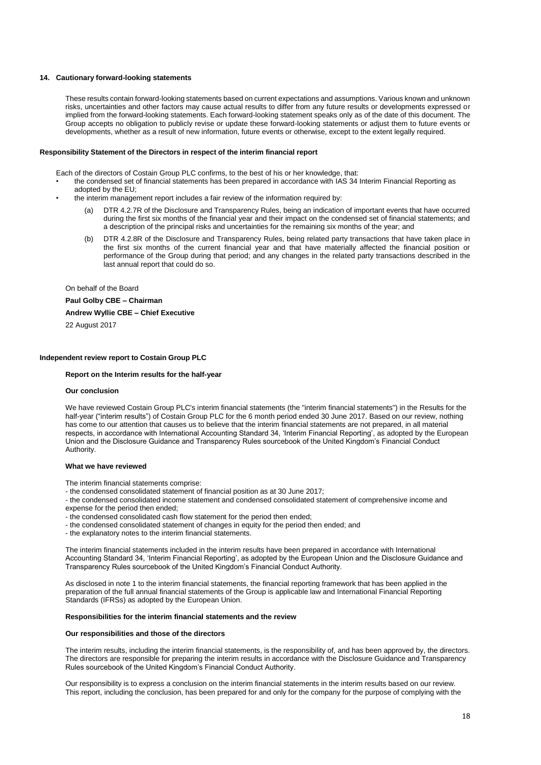### **14. Cautionary forward-looking statements**

These results contain forward-looking statements based on current expectations and assumptions. Various known and unknown risks, uncertainties and other factors may cause actual results to differ from any future results or developments expressed or implied from the forward-looking statements. Each forward-looking statement speaks only as of the date of this document. The Group accepts no obligation to publicly revise or update these forward-looking statements or adjust them to future events or developments, whether as a result of new information, future events or otherwise, except to the extent legally required.

#### **Responsibility Statement of the Directors in respect of the interim financial report**

Each of the directors of Costain Group PLC confirms, to the best of his or her knowledge, that:

- the condensed set of financial statements has been prepared in accordance with IAS 34 Interim Financial Reporting as adopted by the EU;
- the interim management report includes a fair review of the information required by:
	- DTR 4.2.7R of the Disclosure and Transparency Rules, being an indication of important events that have occurred during the first six months of the financial year and their impact on the condensed set of financial statements; and a description of the principal risks and uncertainties for the remaining six months of the year; and
	- (b) DTR 4.2.8R of the Disclosure and Transparency Rules, being related party transactions that have taken place in the first six months of the current financial year and that have materially affected the financial position or performance of the Group during that period; and any changes in the related party transactions described in the last annual report that could do so.

On behalf of the Board

**Paul Golby CBE – Chairman**

**Andrew Wyllie CBE – Chief Executive**

22 August 2017

### **Independent review report to Costain Group PLC**

#### **Report on the Interim results for the half-year**

#### **Our conclusion**

We have reviewed Costain Group PLC's interim financial statements (the "interim financial statements") in the Results for the half-year ("interim results") of Costain Group PLC for the 6 month period ended 30 June 2017. Based on our review, nothing has come to our attention that causes us to believe that the interim financial statements are not prepared, in all material respects, in accordance with International Accounting Standard 34, 'Interim Financial Reporting', as adopted by the European Union and the Disclosure Guidance and Transparency Rules sourcebook of the United Kingdom's Financial Conduct Authority.

#### **What we have reviewed**

The interim financial statements comprise:

- the condensed consolidated statement of financial position as at 30 June 2017;
- the condensed consolidated income statement and condensed consolidated statement of comprehensive income and expense for the period then ended;
- the condensed consolidated cash flow statement for the period then ended;
- the condensed consolidated statement of changes in equity for the period then ended; and
- the explanatory notes to the interim financial statements.

The interim financial statements included in the interim results have been prepared in accordance with International Accounting Standard 34, 'Interim Financial Reporting', as adopted by the European Union and the Disclosure Guidance and Transparency Rules sourcebook of the United Kingdom's Financial Conduct Authority.

As disclosed in note 1 to the interim financial statements, the financial reporting framework that has been applied in the preparation of the full annual financial statements of the Group is applicable law and International Financial Reporting Standards (IFRSs) as adopted by the European Union.

#### **Responsibilities for the interim financial statements and the review**

#### **Our responsibilities and those of the directors**

The interim results, including the interim financial statements, is the responsibility of, and has been approved by, the directors. The directors are responsible for preparing the interim results in accordance with the Disclosure Guidance and Transparency Rules sourcebook of the United Kingdom's Financial Conduct Authority.

Our responsibility is to express a conclusion on the interim financial statements in the interim results based on our review. This report, including the conclusion, has been prepared for and only for the company for the purpose of complying with the